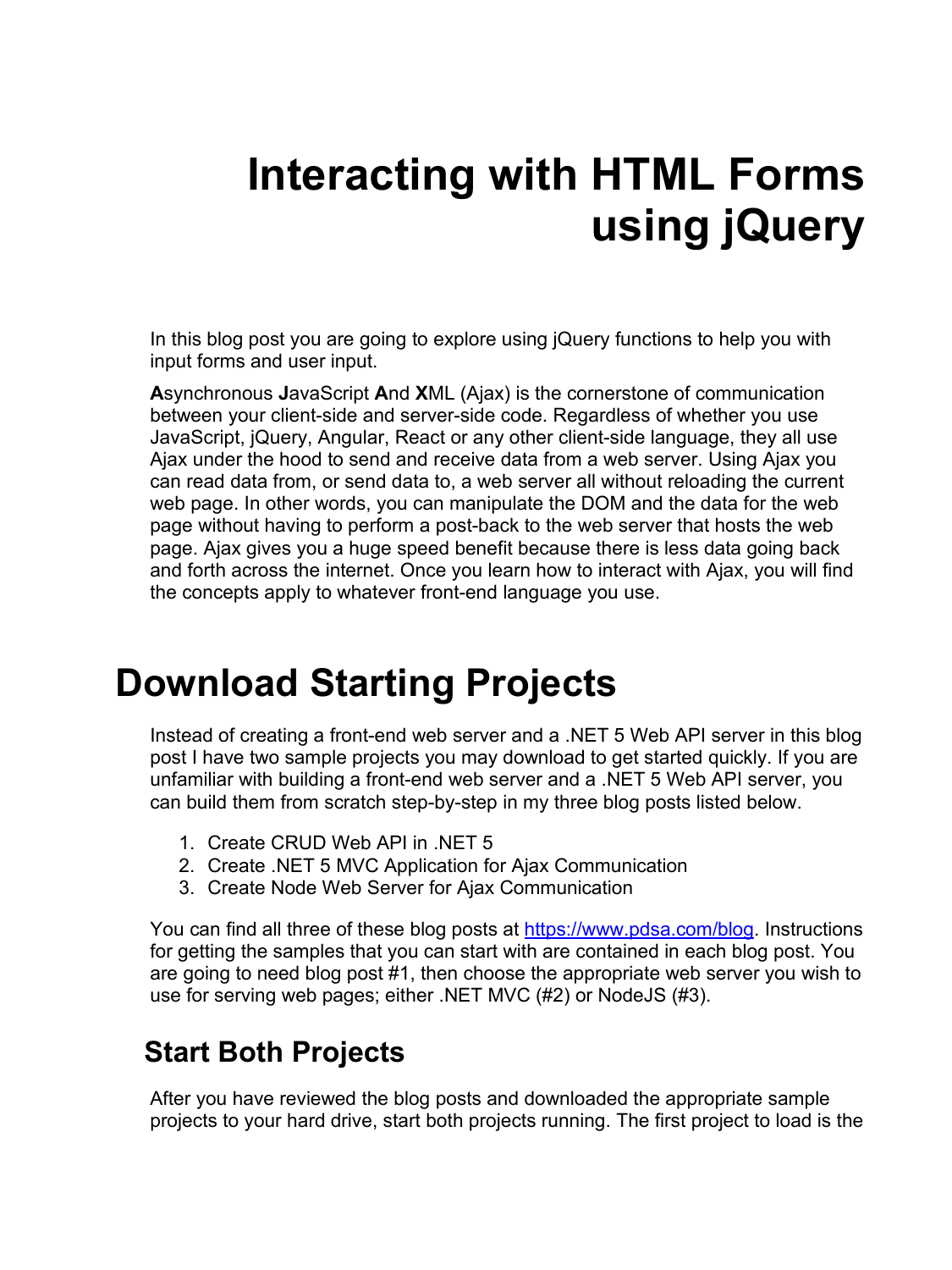# **Interacting with HTML Forms using jQuery**

In this blog post you are going to explore using jQuery functions to help you with input forms and user input.

**A**synchronous **J**avaScript **A**nd **X**ML (Ajax) is the cornerstone of communication between your client-side and server-side code. Regardless of whether you use JavaScript, jQuery, Angular, React or any other client-side language, they all use Ajax under the hood to send and receive data from a web server. Using Ajax you can read data from, or send data to, a web server all without reloading the current web page. In other words, you can manipulate the DOM and the data for the web page without having to perform a post-back to the web server that hosts the web page. Ajax gives you a huge speed benefit because there is less data going back and forth across the internet. Once you learn how to interact with Ajax, you will find the concepts apply to whatever front-end language you use.

### **Download Starting Projects**

Instead of creating a front-end web server and a .NET 5 Web API server in this blog post I have two sample projects you may download to get started quickly. If you are unfamiliar with building a front-end web server and a .NET 5 Web API server, you can build them from scratch step-by-step in my three blog posts listed below.

- 1. Create CRUD Web API in .NET 5
- 2. Create .NET 5 MVC Application for Ajax Communication
- 3. Create Node Web Server for Ajax Communication

You can find all three of these blog posts at [https://www.pdsa.com/blog.](https://www.pdsa.com/blog) Instructions for getting the samples that you can start with are contained in each blog post. You are going to need blog post #1, then choose the appropriate web server you wish to use for serving web pages; either .NET MVC (#2) or NodeJS (#3).

#### **Start Both Projects**

After you have reviewed the blog posts and downloaded the appropriate sample projects to your hard drive, start both projects running. The first project to load is the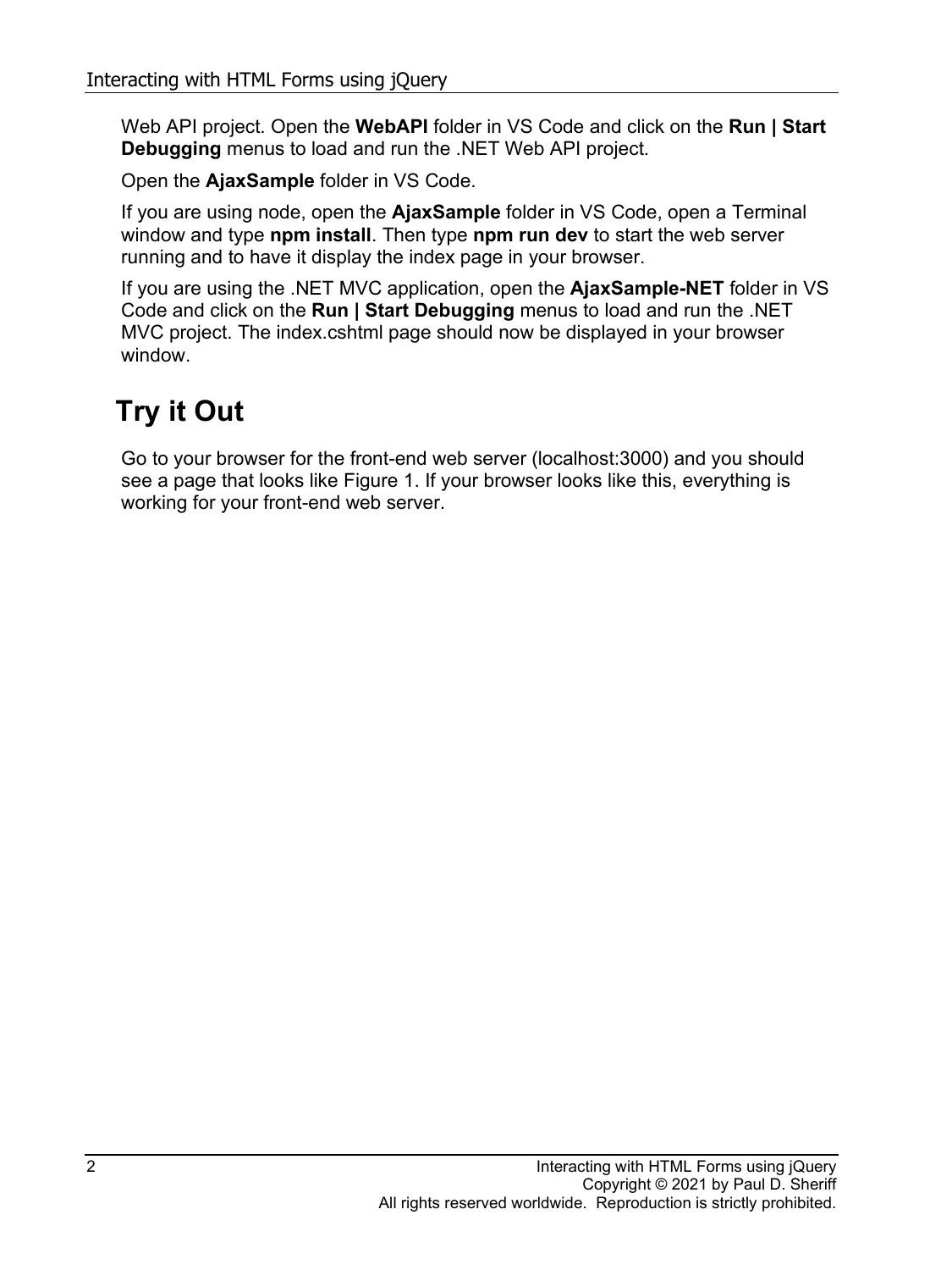Web API project. Open the **WebAPI** folder in VS Code and click on the **Run | Start Debugging** menus to load and run the .NET Web API project.

Open the **AjaxSample** folder in VS Code.

If you are using node, open the **AjaxSample** folder in VS Code, open a Terminal window and type **npm install**. Then type **npm run dev** to start the web server running and to have it display the index page in your browser.

If you are using the .NET MVC application, open the **AjaxSample-NET** folder in VS Code and click on the **Run | Start Debugging** menus to load and run the .NET MVC project. The index.cshtml page should now be displayed in your browser window.

### **Try it Out**

Go to your browser for the front-end web server (localhost:3000) and you should see a page that looks like [Figure 1.](#page-2-0) If your browser looks like this, everything is working for your front-end web server.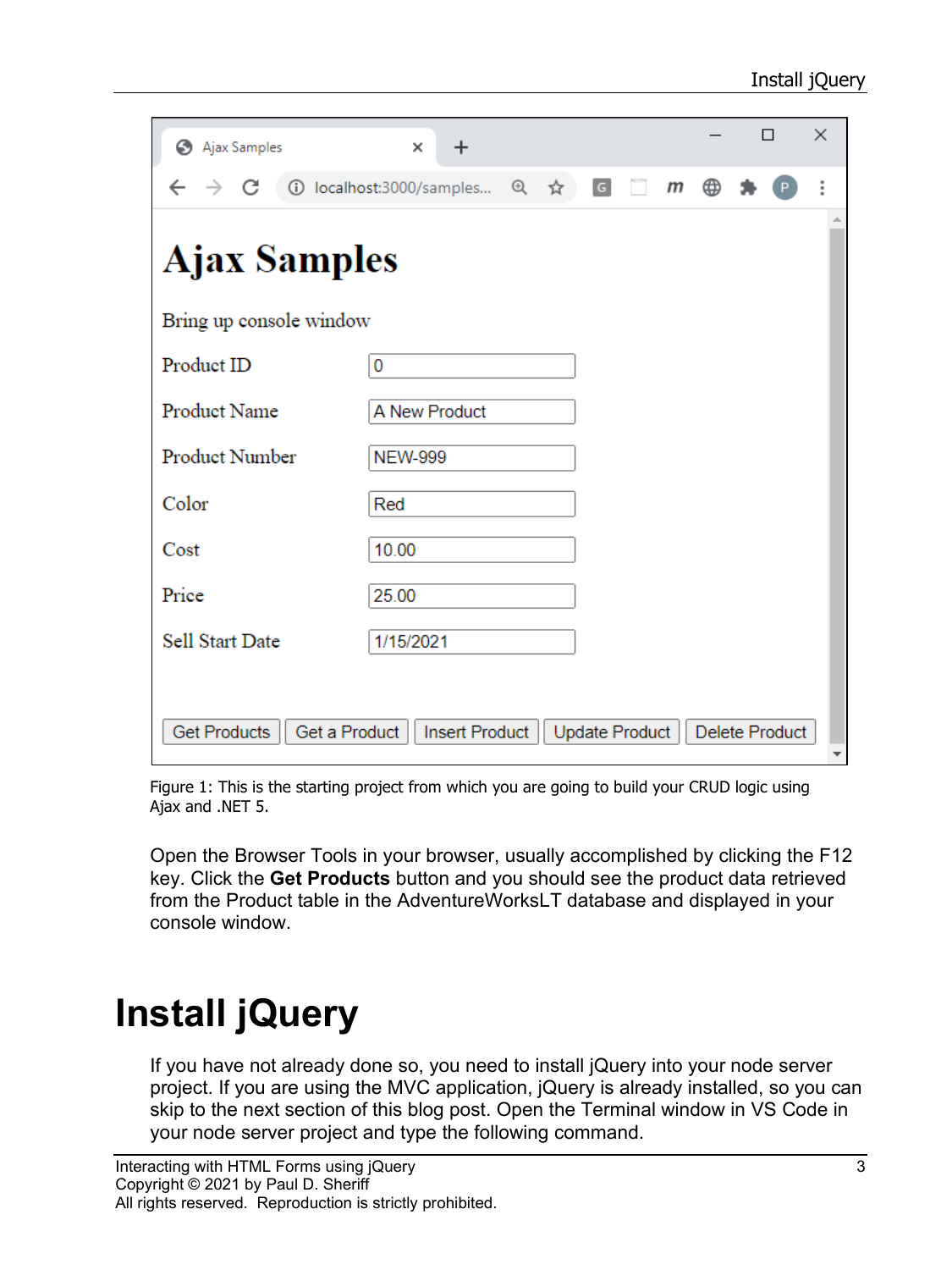| Ajax Samples                         | ×<br>$\ddot{}$           |  |     |                |  |   |   |  | П              | $\times$ |
|--------------------------------------|--------------------------|--|-----|----------------|--|---|---|--|----------------|----------|
| C<br>$\rightarrow$                   | 1 localhost:3000/samples |  | 日 立 | $\overline{G}$ |  | m | ⊕ |  |                |          |
| <b>Ajax Samples</b>                  |                          |  |     |                |  |   |   |  |                |          |
| Bring up console window              |                          |  |     |                |  |   |   |  |                |          |
| Product ID                           | 0                        |  |     |                |  |   |   |  |                |          |
| Product Name                         | A New Product            |  |     |                |  |   |   |  |                |          |
| Product Number                       | <b>NEW-999</b>           |  |     |                |  |   |   |  |                |          |
| Color                                | Red                      |  |     |                |  |   |   |  |                |          |
| Cost                                 | 10.00                    |  |     |                |  |   |   |  |                |          |
| Price                                | 25.00                    |  |     |                |  |   |   |  |                |          |
| Sell Start Date                      | 1/15/2021                |  |     |                |  |   |   |  |                |          |
|                                      |                          |  |     |                |  |   |   |  |                |          |
| <b>Get Products</b><br>Get a Product | Insert Product           |  |     | Update Product |  |   |   |  | Delete Product |          |

<span id="page-2-0"></span>Figure 1: This is the starting project from which you are going to build your CRUD logic using Ajax and .NET 5.

Open the Browser Tools in your browser, usually accomplished by clicking the F12 key. Click the **Get Products** button and you should see the product data retrieved from the Product table in the AdventureWorksLT database and displayed in your console window.

## **Install jQuery**

If you have not already done so, you need to install jQuery into your node server project. If you are using the MVC application, jQuery is already installed, so you can skip to the next section of this blog post. Open the Terminal window in VS Code in your node server project and type the following command.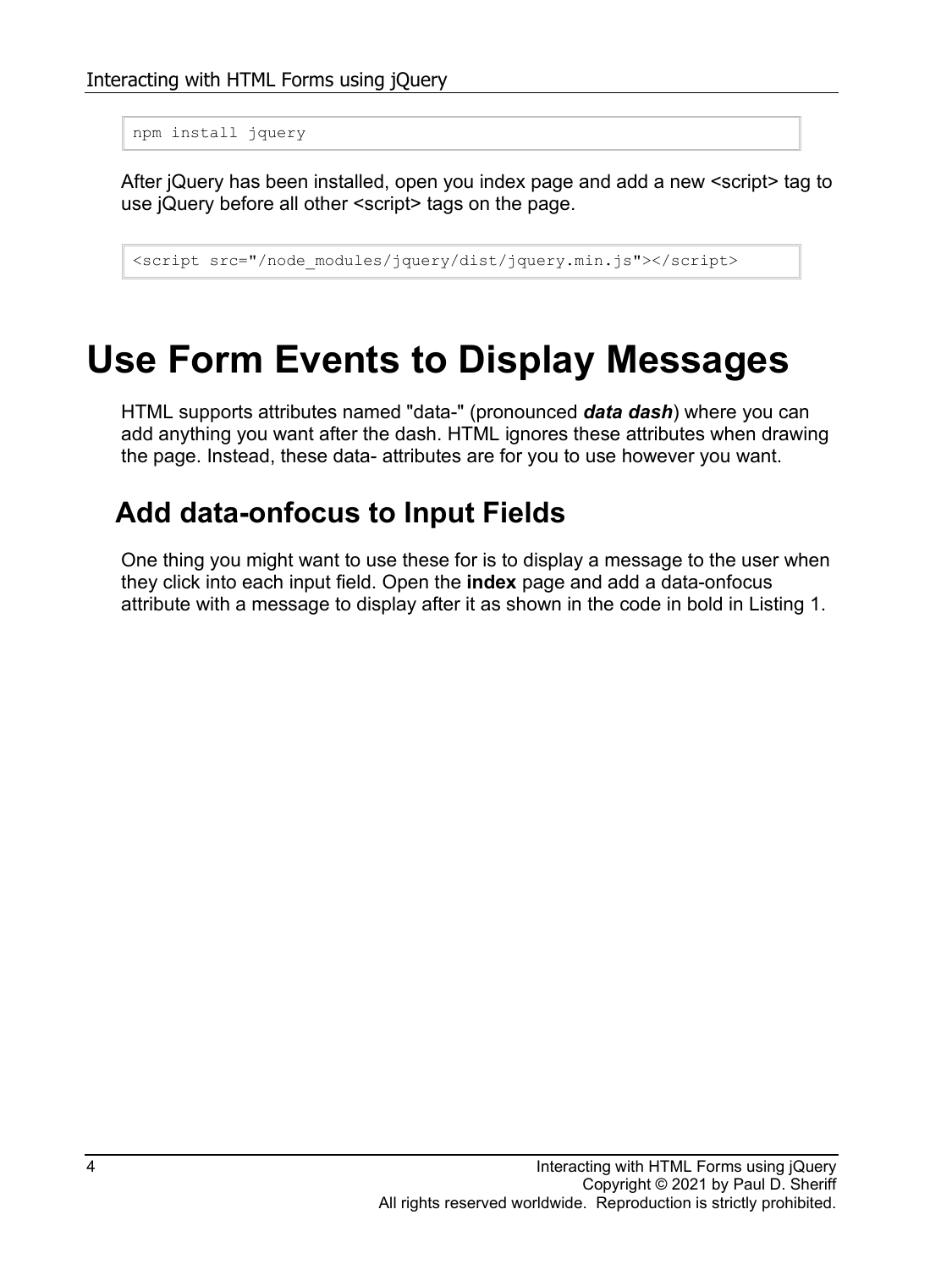```
npm install jquery
```
After jQuery has been installed, open you index page and add a new <script> tag to use jQuery before all other <script> tags on the page.

<script src="/node\_modules/jquery/dist/jquery.min.js"></script>

### **Use Form Events to Display Messages**

HTML supports attributes named "data-" (pronounced *data dash*) where you can add anything you want after the dash. HTML ignores these attributes when drawing the page. Instead, these data- attributes are for you to use however you want.

#### **Add data-onfocus to Input Fields**

One thing you might want to use these for is to display a message to the user when they click into each input field. Open the **index** page and add a data-onfocus attribute with a message to display after it as shown in the code in bold in [Listing 1.](#page-5-0)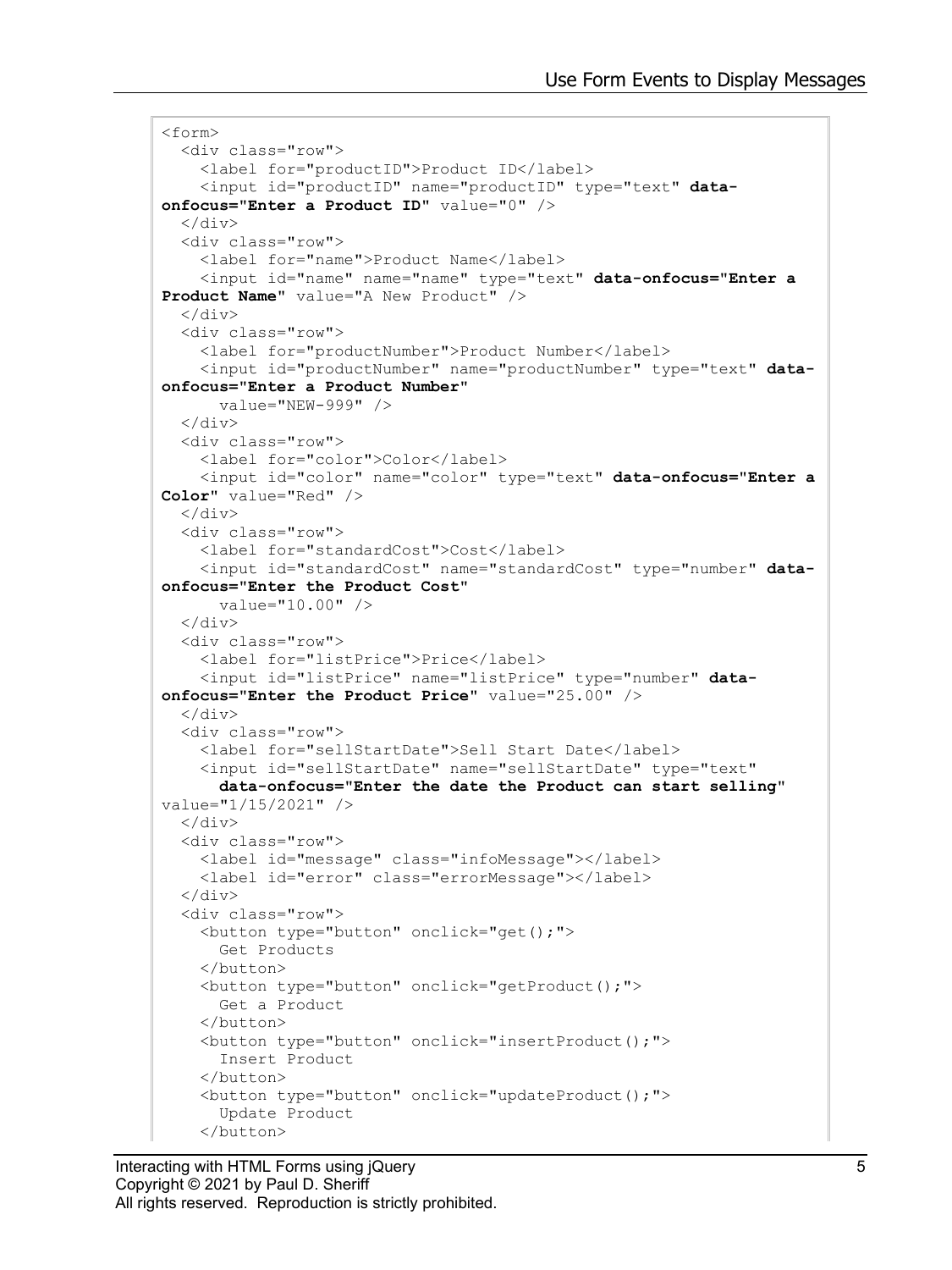```
<form>
   <div class="row">
     <label for="productID">Product ID</label>
     <input id="productID" name="productID" type="text" data-
onfocus="Enter a Product ID" value="0" />
  \langle div\rangle <div class="row">
     <label for="name">Product Name</label>
     <input id="name" name="name" type="text" data-onfocus="Enter a 
Product Name" value="A New Product" />
  \langle/div>
   <div class="row">
     <label for="productNumber">Product Number</label>
     <input id="productNumber" name="productNumber" type="text" data-
onfocus="Enter a Product Number"
       value="NEW-999" />
  \langle div>
   <div class="row">
     <label for="color">Color</label>
     <input id="color" name="color" type="text" data-onfocus="Enter a 
Color" value="Red" />
  \langlediv\rangle <div class="row">
     <label for="standardCost">Cost</label>
     <input id="standardCost" name="standardCost" type="number" data-
onfocus="Enter the Product Cost"
       value="10.00" />
  \langle div>
   <div class="row">
     <label for="listPrice">Price</label>
     <input id="listPrice" name="listPrice" type="number" data-
onfocus="Enter the Product Price" value="25.00" />
  \langlediv> <div class="row">
     <label for="sellStartDate">Sell Start Date</label>
     <input id="sellStartDate" name="sellStartDate" type="text"
       data-onfocus="Enter the date the Product can start selling"
value="1/15/2021" />
   </div>
   <div class="row">
     <label id="message" class="infoMessage"></label>
     <label id="error" class="errorMessage"></label>
  \langle div\rangle <div class="row">
     <button type="button" onclick="get();">
       Get Products
     </button>
     <button type="button" onclick="getProduct();">
       Get a Product
    \langle/button>
     <button type="button" onclick="insertProduct();">
       Insert Product
     </button>
     <button type="button" onclick="updateProduct();">
       Update Product
     </button>
```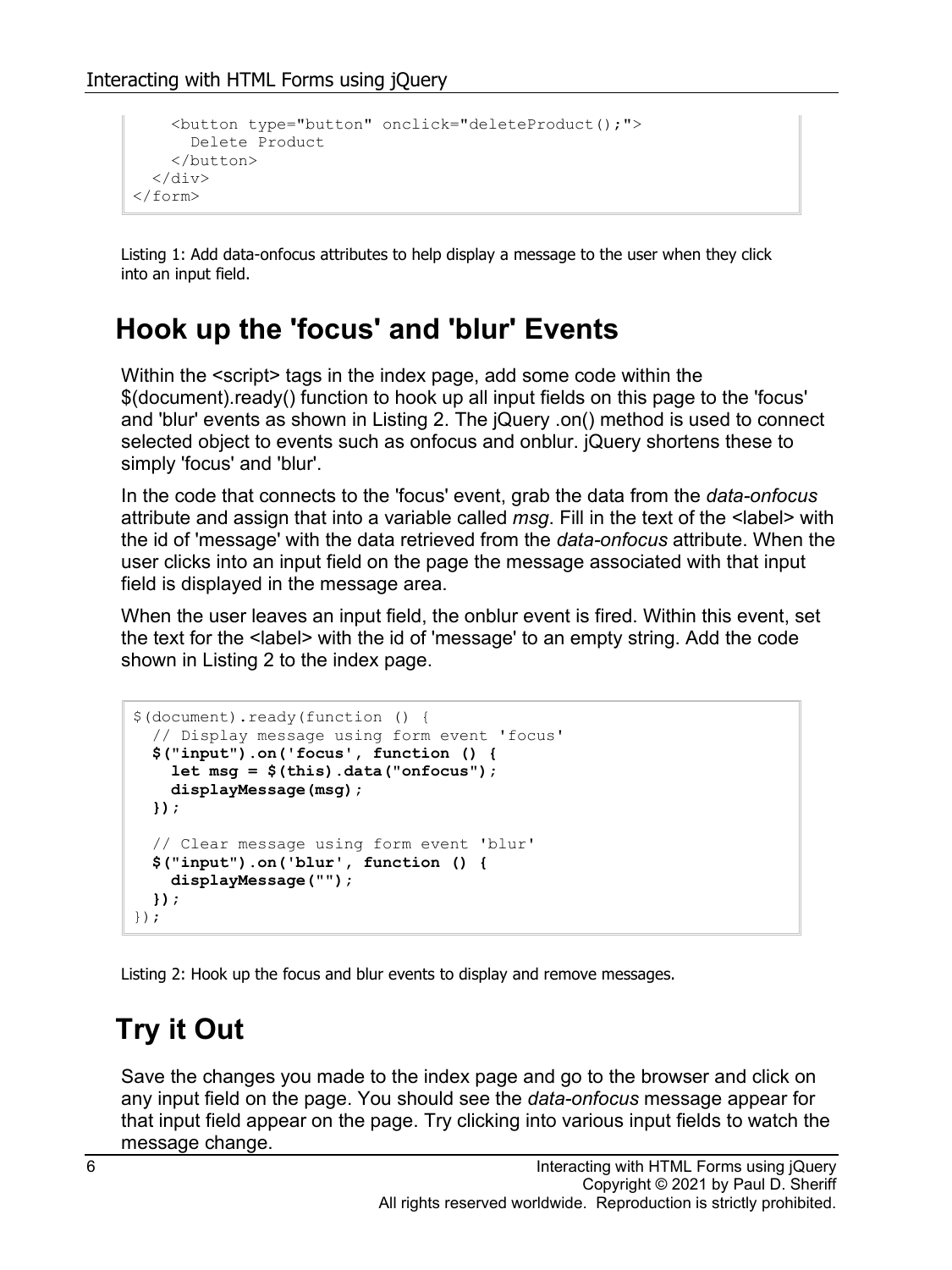```
 <button type="button" onclick="deleteProduct();">
       Delete Product
     </button>
   </div>
</form>
```
<span id="page-5-0"></span>Listing 1: Add data-onfocus attributes to help display a message to the user when they click into an input field.

#### **Hook up the 'focus' and 'blur' Events**

Within the  $\le$ script> tags in the index page, add some code within the \$(document).ready() function to hook up all input fields on this page to the 'focus' and 'blur' events as shown in [Listing 2.](#page-5-1) The jQuery .on() method is used to connect selected object to events such as onfocus and onblur. jQuery shortens these to simply 'focus' and 'blur'.

In the code that connects to the 'focus' event, grab the data from the *data-onfocus* attribute and assign that into a variable called *msg*. Fill in the text of the <label> with the id of 'message' with the data retrieved from the *data-onfocus* attribute. When the user clicks into an input field on the page the message associated with that input field is displayed in the message area.

When the user leaves an input field, the onblur event is fired. Within this event, set the text for the <label> with the id of 'message' to an empty string. Add the code shown in [Listing 2](#page-5-1) to the index page.

```
$(document).ready(function () {
   // Display message using form event 'focus'
   $("input").on('focus', function () {
     let msg = $(this).data("onfocus");
     displayMessage(msg);
   });
  // Clear message using form event 'blur'
   $("input").on('blur', function () {
    displayMessage("");
  });
});
```
<span id="page-5-1"></span>Listing 2: Hook up the focus and blur events to display and remove messages.

#### **Try it Out**

Save the changes you made to the index page and go to the browser and click on any input field on the page. You should see the *data-onfocus* message appear for that input field appear on the page. Try clicking into various input fields to watch the message change.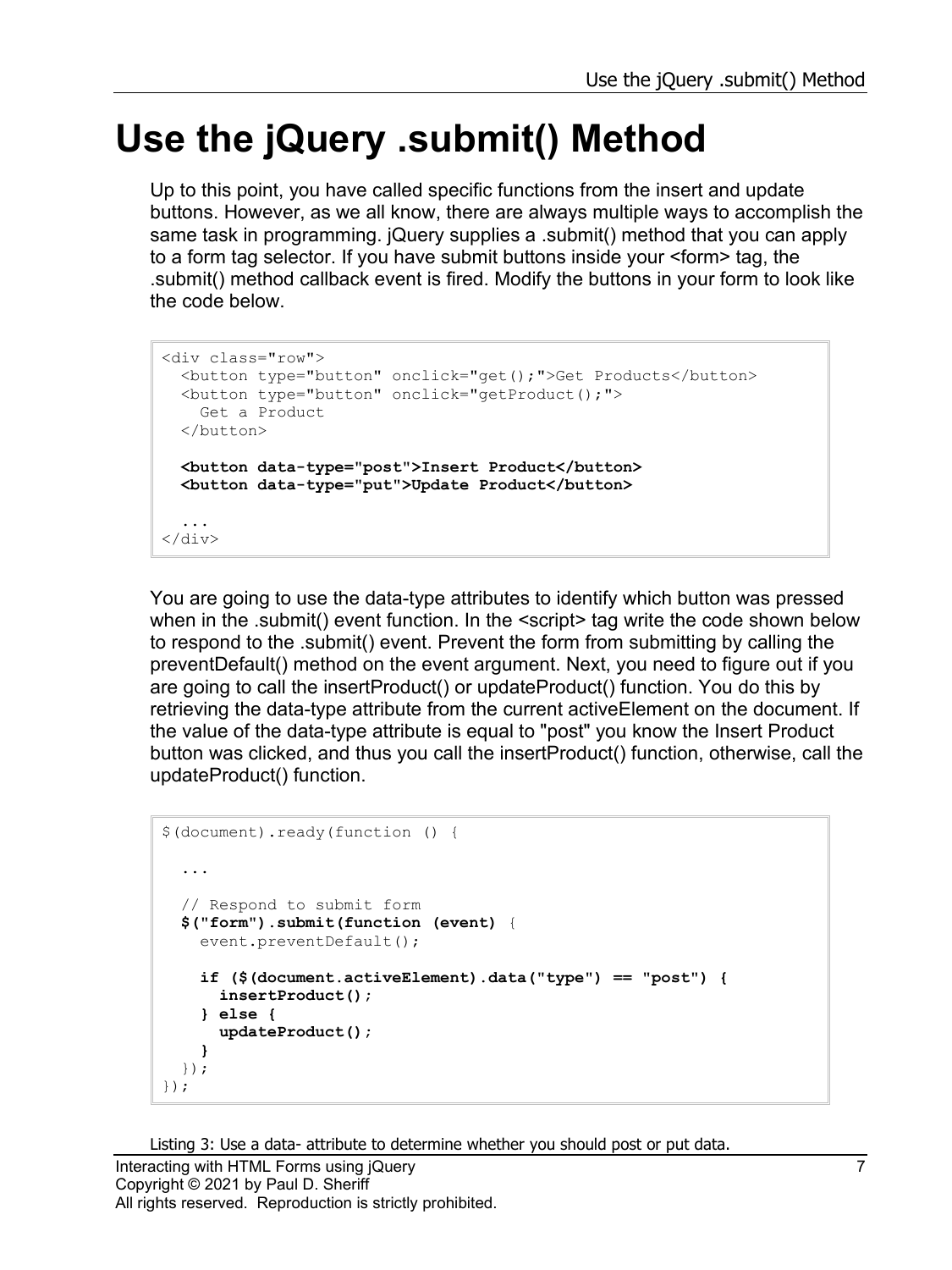## **Use the jQuery .submit() Method**

Up to this point, you have called specific functions from the insert and update buttons. However, as we all know, there are always multiple ways to accomplish the same task in programming. jQuery supplies a .submit() method that you can apply to a form tag selector. If you have submit buttons inside your <form> tag, the .submit() method callback event is fired. Modify the buttons in your form to look like the code below.

```
<div class="row">
   <button type="button" onclick="get();">Get Products</button>
   <button type="button" onclick="getProduct();">
     Get a Product
   </button>
   <button data-type="post">Insert Product</button>
   <button data-type="put">Update Product</button>
   ...
\langle div>
```
You are going to use the data-type attributes to identify which button was pressed when in the .submit() event function. In the <script> tag write the code shown below to respond to the .submit() event. Prevent the form from submitting by calling the preventDefault() method on the event argument. Next, you need to figure out if you are going to call the insertProduct() or updateProduct() function. You do this by retrieving the data-type attribute from the current activeElement on the document. If the value of the data-type attribute is equal to "post" you know the Insert Product button was clicked, and thus you call the insertProduct() function, otherwise, call the updateProduct() function.

```
$(document).ready(function () {
   ...
   // Respond to submit form
   $("form").submit(function (event) {
     event.preventDefault();
     if ($(document.activeElement).data("type") == "post") {
       insertProduct();
     } else {
       updateProduct();
     }
   });
});
```
Listing 3: Use a data- attribute to determine whether you should post or put data.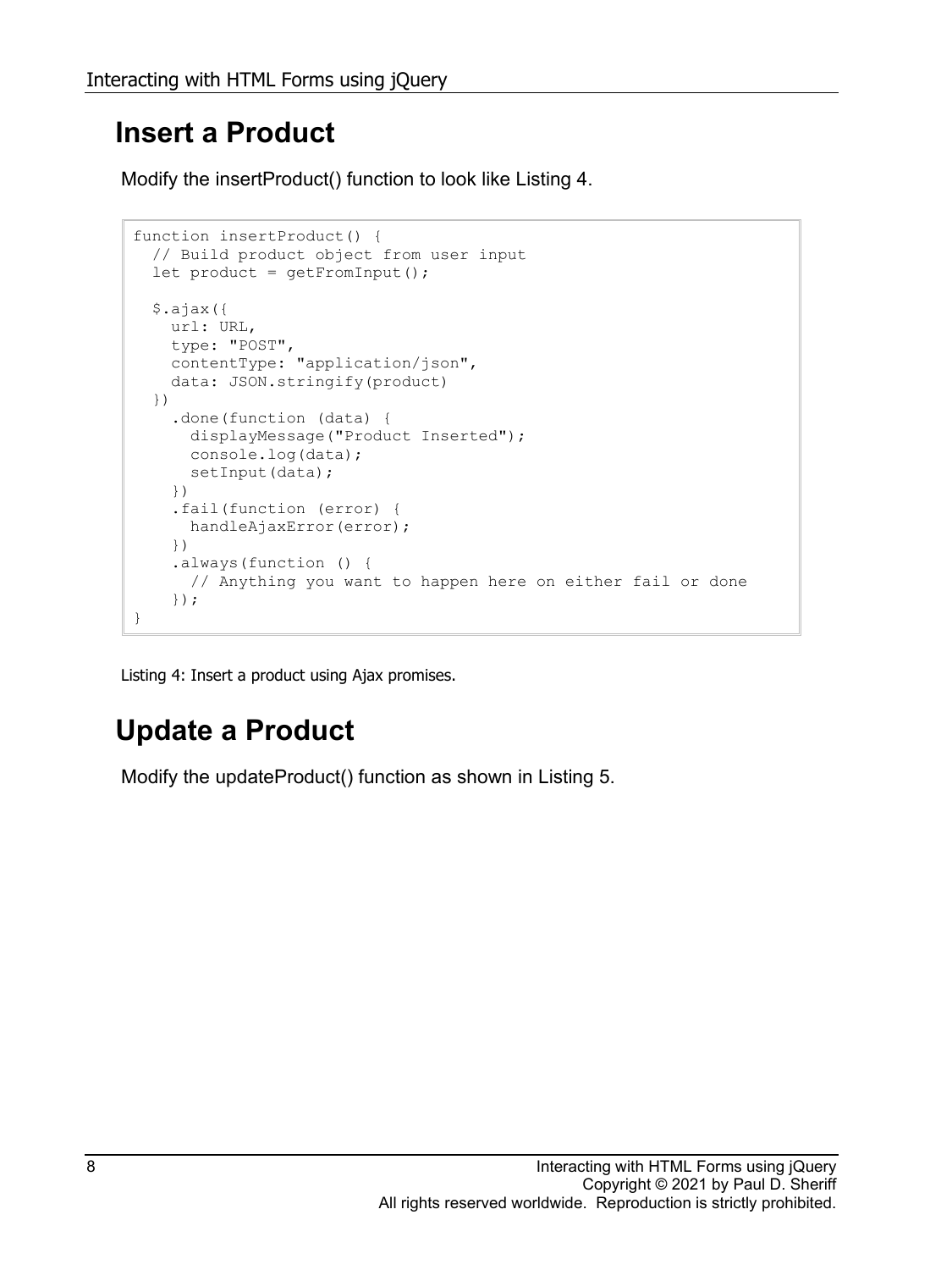#### **Insert a Product**

Modify the insertProduct() function to look like [Listing 4.](#page-7-0)

```
function insertProduct() {
   // Build product object from user input
   let product = getFromInput();
   $.ajax({
    url: URL,
     type: "POST",
    contentType: "application/json",
     data: JSON.stringify(product)
   })
     .done(function (data) {
      displayMessage("Product Inserted");
      console.log(data);
     setInput(data);
     })
     .fail(function (error) {
      handleAjaxError(error);
     })
     .always(function () {
      // Anything you want to happen here on either fail or done
     });
}
```
<span id="page-7-0"></span>Listing 4: Insert a product using Ajax promises.

### **Update a Product**

Modify the updateProduct() function as shown in [Listing 5.](#page-8-0)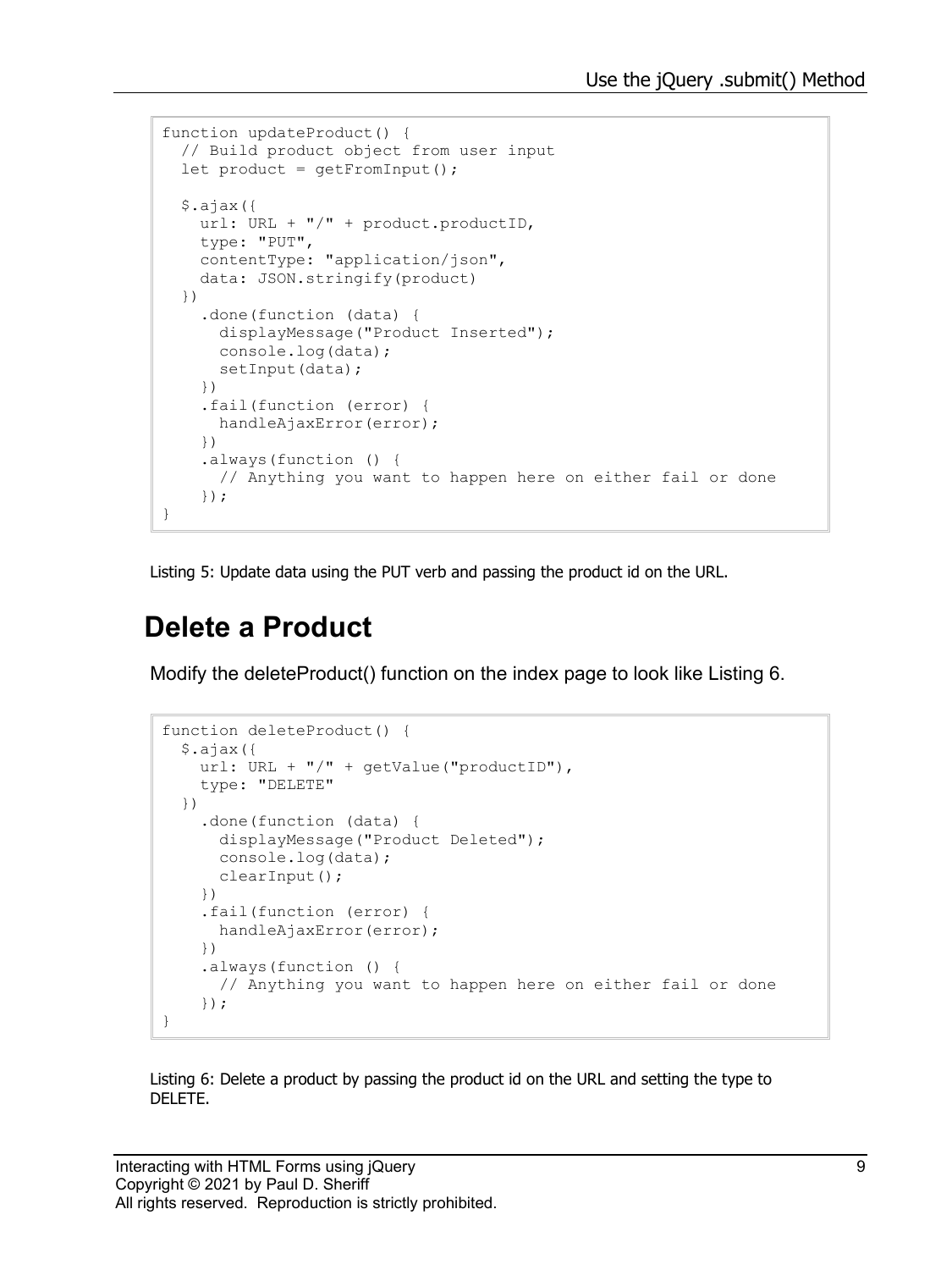```
function updateProduct() {
  // Build product object from user input
  let product = getFromInput();
   $.ajax({
   url: URL + "/" + product.productID,
     type: "PUT",
     contentType: "application/json",
     data: JSON.stringify(product)
   })
     .done(function (data) {
       displayMessage("Product Inserted");
       console.log(data);
      setInput(data);
     })
     .fail(function (error) {
      handleAjaxError(error);
     })
     .always(function () {
       // Anything you want to happen here on either fail or done
     });
}
```
<span id="page-8-0"></span>Listing 5: Update data using the PUT verb and passing the product id on the URL.

#### **Delete a Product**

Modify the deleteProduct() function on the index page to look like [Listing 6.](#page-8-1)

```
function deleteProduct() {
   $.ajax({
   url: URL + "/" + getValue("productID"),
     type: "DELETE"
   })
     .done(function (data) {
       displayMessage("Product Deleted");
       console.log(data);
       clearInput();
     })
     .fail(function (error) {
      handleAjaxError(error);
     })
     .always(function () {
       // Anything you want to happen here on either fail or done
     });
}
```
<span id="page-8-1"></span>Listing 6: Delete a product by passing the product id on the URL and setting the type to DELETE.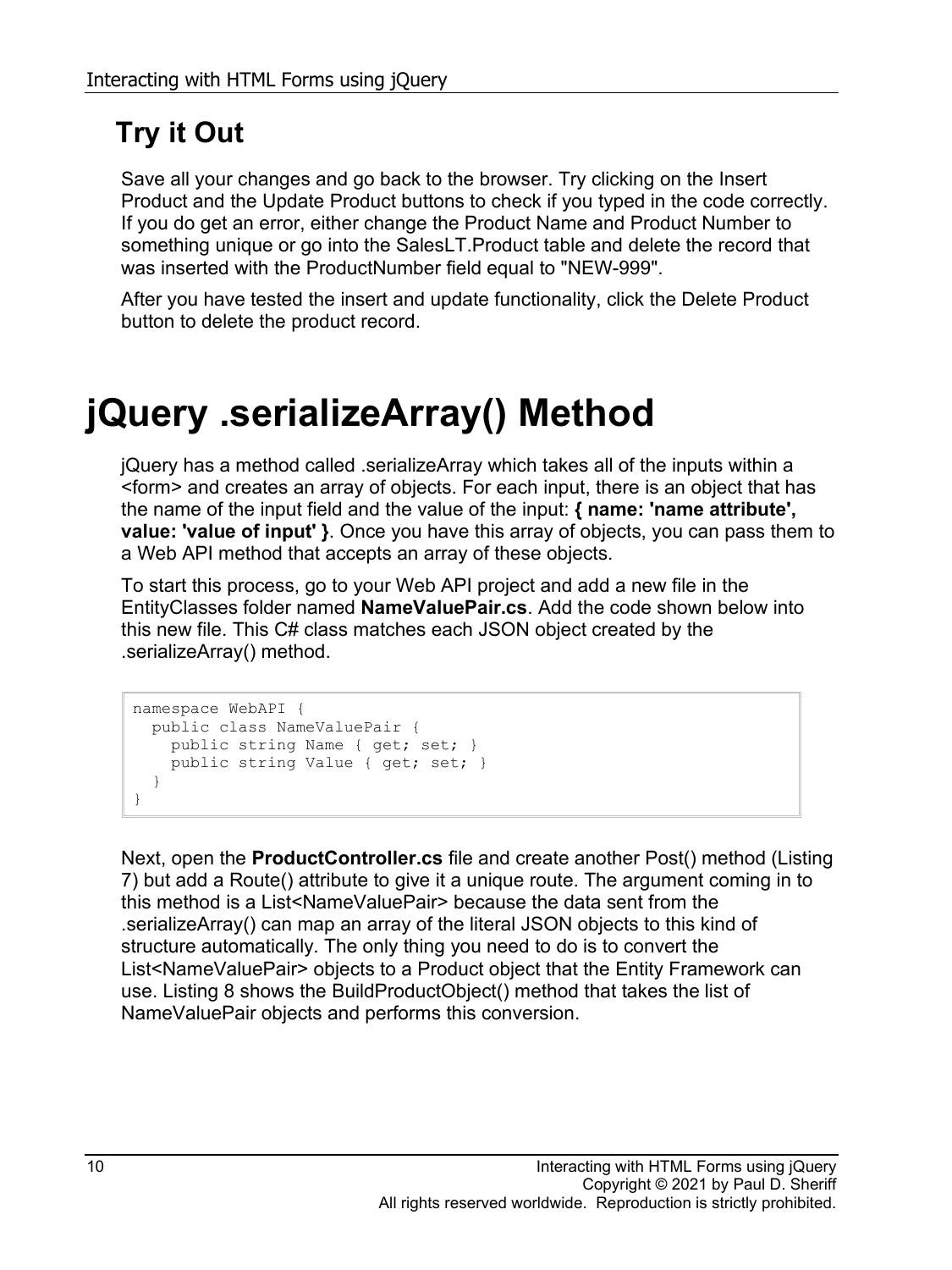### **Try it Out**

Save all your changes and go back to the browser. Try clicking on the Insert Product and the Update Product buttons to check if you typed in the code correctly. If you do get an error, either change the Product Name and Product Number to something unique or go into the SalesLT.Product table and delete the record that was inserted with the ProductNumber field equal to "NEW-999".

After you have tested the insert and update functionality, click the Delete Product button to delete the product record.

## **jQuery .serializeArray() Method**

jQuery has a method called .serializeArray which takes all of the inputs within a <form> and creates an array of objects. For each input, there is an object that has the name of the input field and the value of the input: **{ name: 'name attribute', value: 'value of input' }**. Once you have this array of objects, you can pass them to a Web API method that accepts an array of these objects.

To start this process, go to your Web API project and add a new file in the EntityClasses folder named **NameValuePair.cs**. Add the code shown below into this new file. This C# class matches each JSON object created by the .serializeArray() method.

```
namespace WebAPI {
  public class NameValuePair {
    public string Name { get; set; }
     public string Value { get; set; }
   }
}
```
Next, open the **ProductController.cs** file and create another Post() method [\(Listing](#page-10-0)  [7\)](#page-10-0) but add a Route() attribute to give it a unique route. The argument coming in to this method is a List<NameValuePair> because the data sent from the .serializeArray() can map an array of the literal JSON objects to this kind of structure automatically. The only thing you need to do is to convert the List<NameValuePair> objects to a Product object that the Entity Framework can use. [Listing 8](#page-11-0) shows the BuildProductObject() method that takes the list of NameValuePair objects and performs this conversion.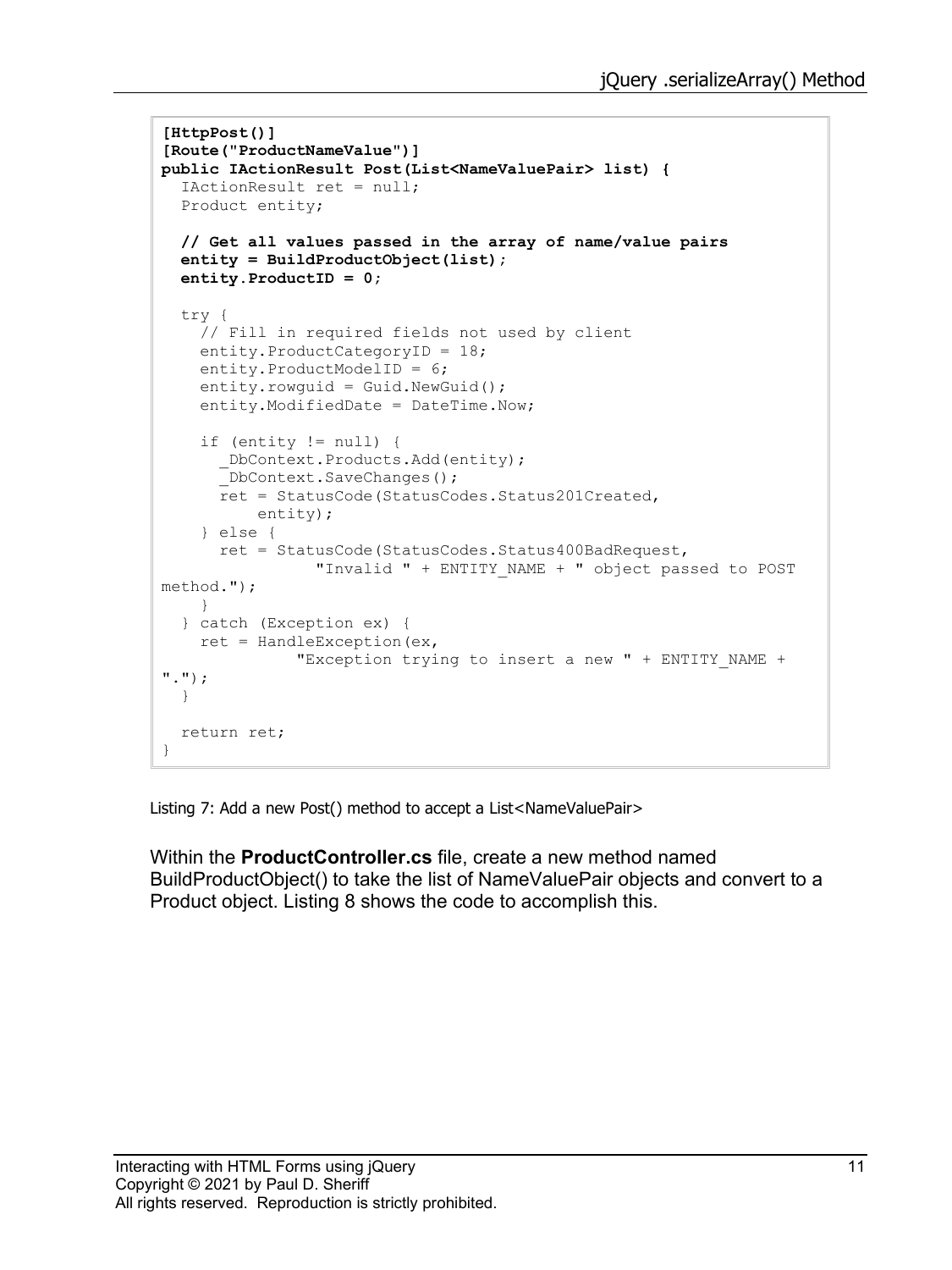```
[HttpPost()]
[Route("ProductNameValue")]
public IActionResult Post(List<NameValuePair> list) {
   IActionResult ret = null;
   Product entity;
  // Get all values passed in the array of name/value pairs
   entity = BuildProductObject(list);
   entity.ProductID = 0;
   try {
     // Fill in required fields not used by client
     entity.ProductCategoryID = 18;
     entity.ProductModelID = 6;
     entity.rowguid = Guid.NewGuid();
     entity.ModifiedDate = DateTime.Now;
     if (entity != null) {
       _DbContext.Products.Add(entity);
      DbContext.SaveChanges();
       ret = StatusCode(StatusCodes.Status201Created,
           entity);
     } else {
       ret = StatusCode(StatusCodes.Status400BadRequest,
                 "Invalid " + ENTITY_NAME + " object passed to POST 
method.");
    }
   } catch (Exception ex) {
   ret = HandleException (ex,
              "Exception trying to insert a new " + ENTITY_NAME + 
".");
  }
  return ret;
}
```
<span id="page-10-0"></span>Listing 7: Add a new Post() method to accept a List<NameValuePair>

Within the **ProductController.cs** file, create a new method named BuildProductObject() to take the list of NameValuePair objects and convert to a Product object. [Listing 8](#page-11-0) shows the code to accomplish this.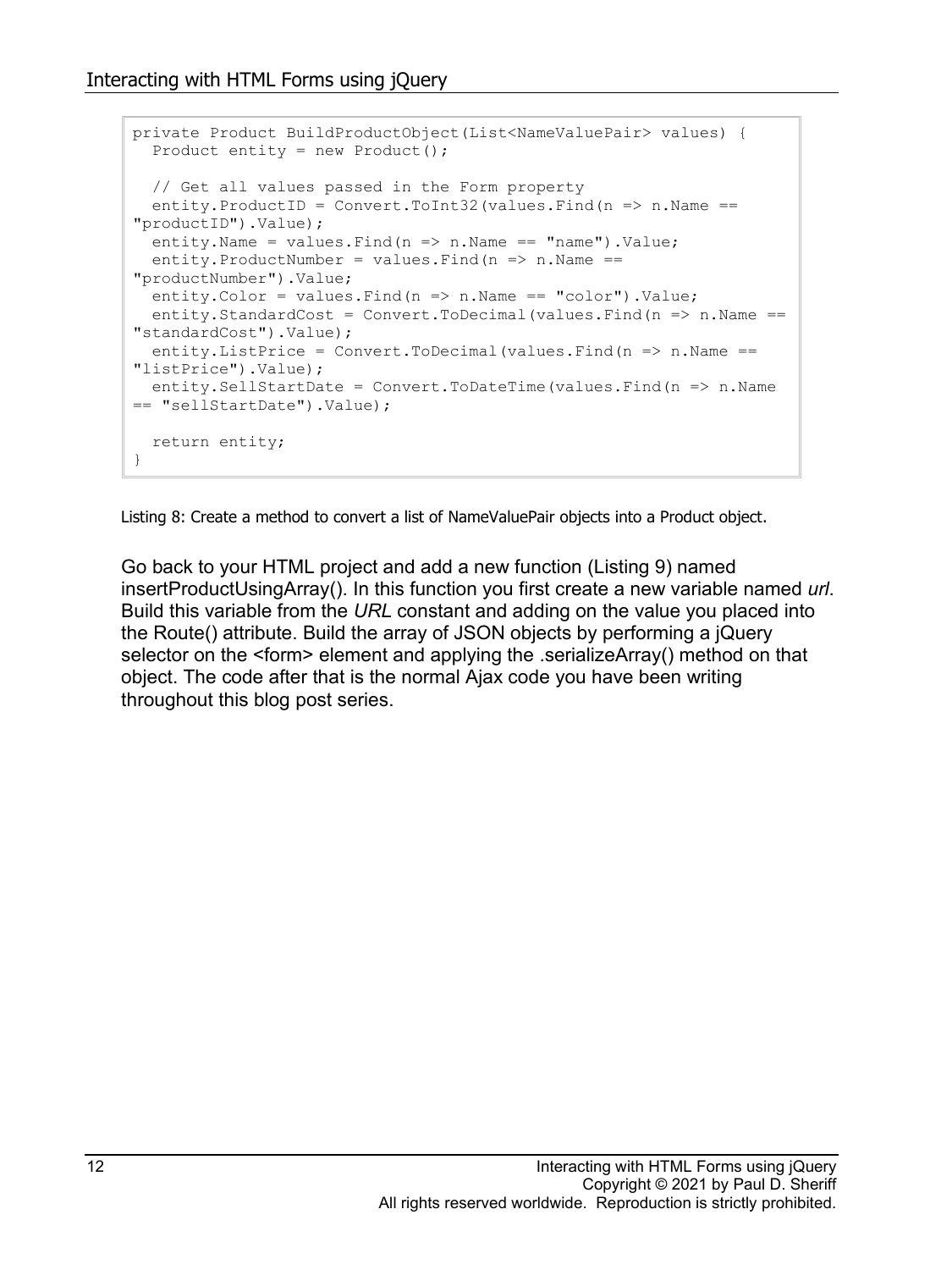```
private Product BuildProductObject(List<NameValuePair> values) {
 Product entity = new Product();
   // Get all values passed in the Form property
  entity. ProductID = Convert. ToInt32 (values. Find (n \Rightarrow n. Name ==
"productID").Value);
  entity.Name = values.Find(n \Rightarrow n.Name == "name").Value;
  entity. ProductNumber = values. Find (n \Rightarrow n). Name ==
"productNumber").Value;
   entity.Color = values.Find(n => n.Name == "color").Value;
  entity.StandardCost = Convert.ToDecimal(values.Find(n = > n.Name ==
"standardCost").Value);
 entity.ListPrice = Convert.ToDecimal(values.Find(n => n.Name ==
"listPrice").Value);
  entity.SellStartDate = Convert.ToDateTime(values.Find(n => n.Name 
== "sellStartDate").Value);
  return entity;
}
```
<span id="page-11-0"></span>Listing 8: Create a method to convert a list of NameValuePair objects into a Product object.

Go back to your HTML project and add a new function [\(Listing 9\)](#page-12-0) named insertProductUsingArray(). In this function you first create a new variable named *url*. Build this variable from the *URL* constant and adding on the value you placed into the Route() attribute. Build the array of JSON objects by performing a jQuery selector on the <form> element and applying the .serializeArray() method on that object. The code after that is the normal Ajax code you have been writing throughout this blog post series.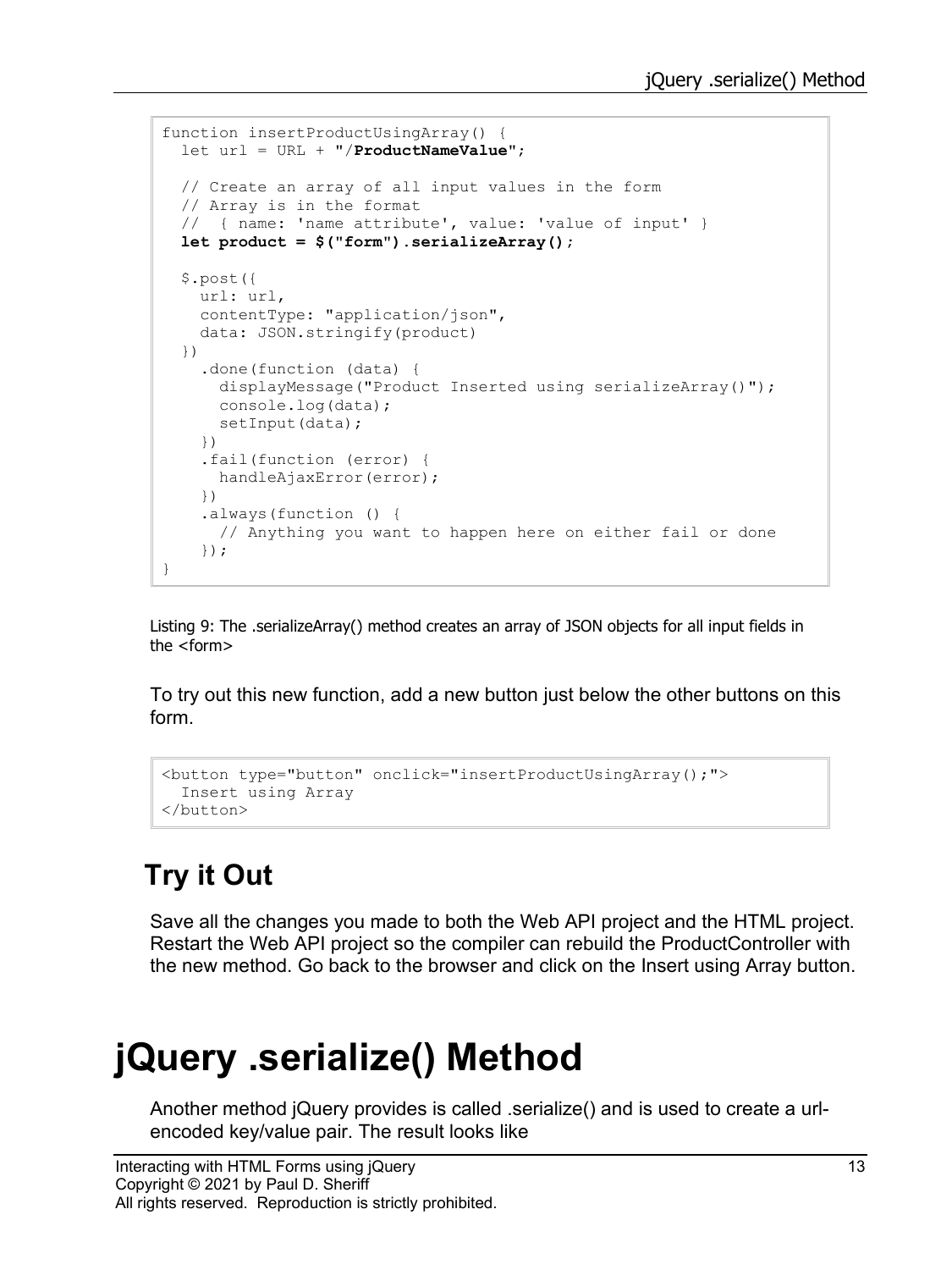```
function insertProductUsingArray() {
  let url = URL + "/ProductNameValue";
  // Create an array of all input values in the form
   // Array is in the format
   // { name: 'name attribute', value: 'value of input' }
  let product = $("form").serializeArray();
   $.post({
    url: url,
     contentType: "application/json",
     data: JSON.stringify(product)
   })
     .done(function (data) {
      displayMessage("Product Inserted using serializeArray()");
      console.log(data);
     setInput(data);
     })
     .fail(function (error) {
     handleAjaxError(error);
     })
     .always(function () {
      // Anything you want to happen here on either fail or done
     });
}
```
<span id="page-12-0"></span>Listing 9: The .serializeArray() method creates an array of JSON objects for all input fields in the <form>

To try out this new function, add a new button just below the other buttons on this form.

```
<button type="button" onclick="insertProductUsingArray();">
  Insert using Array
</button>
```
### **Try it Out**

Save all the changes you made to both the Web API project and the HTML project. Restart the Web API project so the compiler can rebuild the ProductController with the new method. Go back to the browser and click on the Insert using Array button.

## **jQuery .serialize() Method**

Another method jQuery provides is called .serialize() and is used to create a urlencoded key/value pair. The result looks like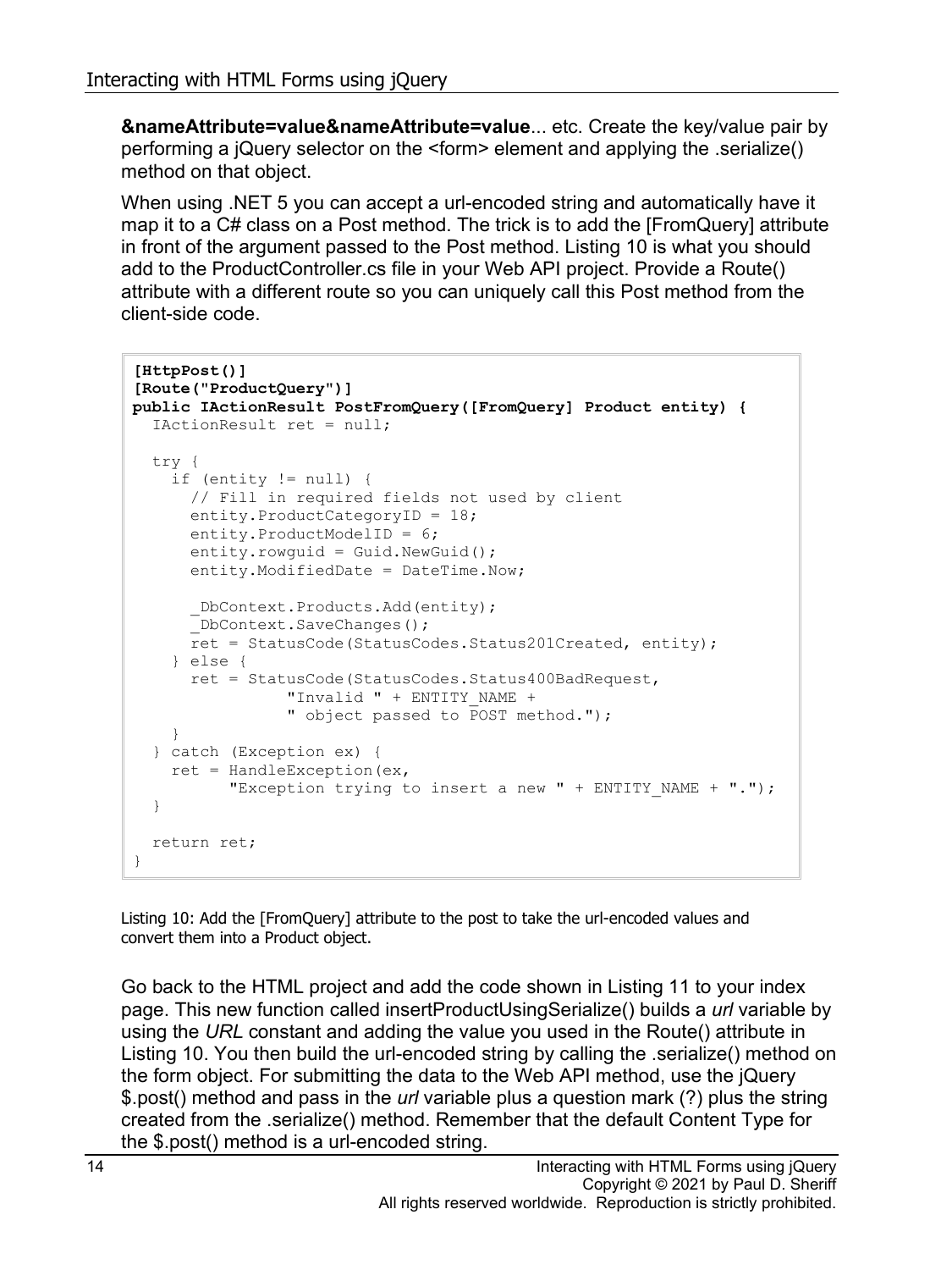**&nameAttribute=value&nameAttribute=value**... etc. Create the key/value pair by performing a jQuery selector on the <form> element and applying the .serialize() method on that object.

When using .NET 5 you can accept a url-encoded string and automatically have it map it to a C# class on a Post method. The trick is to add the [FromQuery] attribute in front of the argument passed to the Post method. [Listing 10](#page-13-0) is what you should add to the ProductController.cs file in your Web API project. Provide a Route() attribute with a different route so you can uniquely call this Post method from the client-side code.

```
[HttpPost()]
[Route("ProductQuery")]
public IActionResult PostFromQuery([FromQuery] Product entity) {
   IActionResult ret = null;
   try {
    if (entity != null) {
       // Fill in required fields not used by client
      entity.ProductCategoryID = 18;
       entity.ProductModelID = 6;
       entity.rowguid = Guid.NewGuid();
       entity.ModifiedDate = DateTime.Now;
       _DbContext.Products.Add(entity);
      \overline{\phantom{a}}DbContext.SaveChanges();
      ret = StatusCode(StatusCodes.Status201Created, entity);
     } else {
      ret = StatusCode(StatusCodes.Status400BadRequest,
                "Invalid " + ENTITY NAME +
                  " object passed to POST method.");
     }
   } catch (Exception ex) {
   ret = HandleException (ex,
          "Exception trying to insert a new " + ENTITY NAME + ".");
   }
  return ret;
}
```
<span id="page-13-0"></span>Listing 10: Add the [FromQuery] attribute to the post to take the url-encoded values and convert them into a Product object.

Go back to the HTML project and add the code shown in [Listing 11](#page-14-0) to your index page. This new function called insertProductUsingSerialize() builds a *url* variable by using the *URL* constant and adding the value you used in the Route() attribute in [Listing 10.](#page-13-0) You then build the url-encoded string by calling the .serialize() method on the form object. For submitting the data to the Web API method, use the jQuery \$.post() method and pass in the *url* variable plus a question mark (?) plus the string created from the .serialize() method. Remember that the default Content Type for the \$.post() method is a url-encoded string.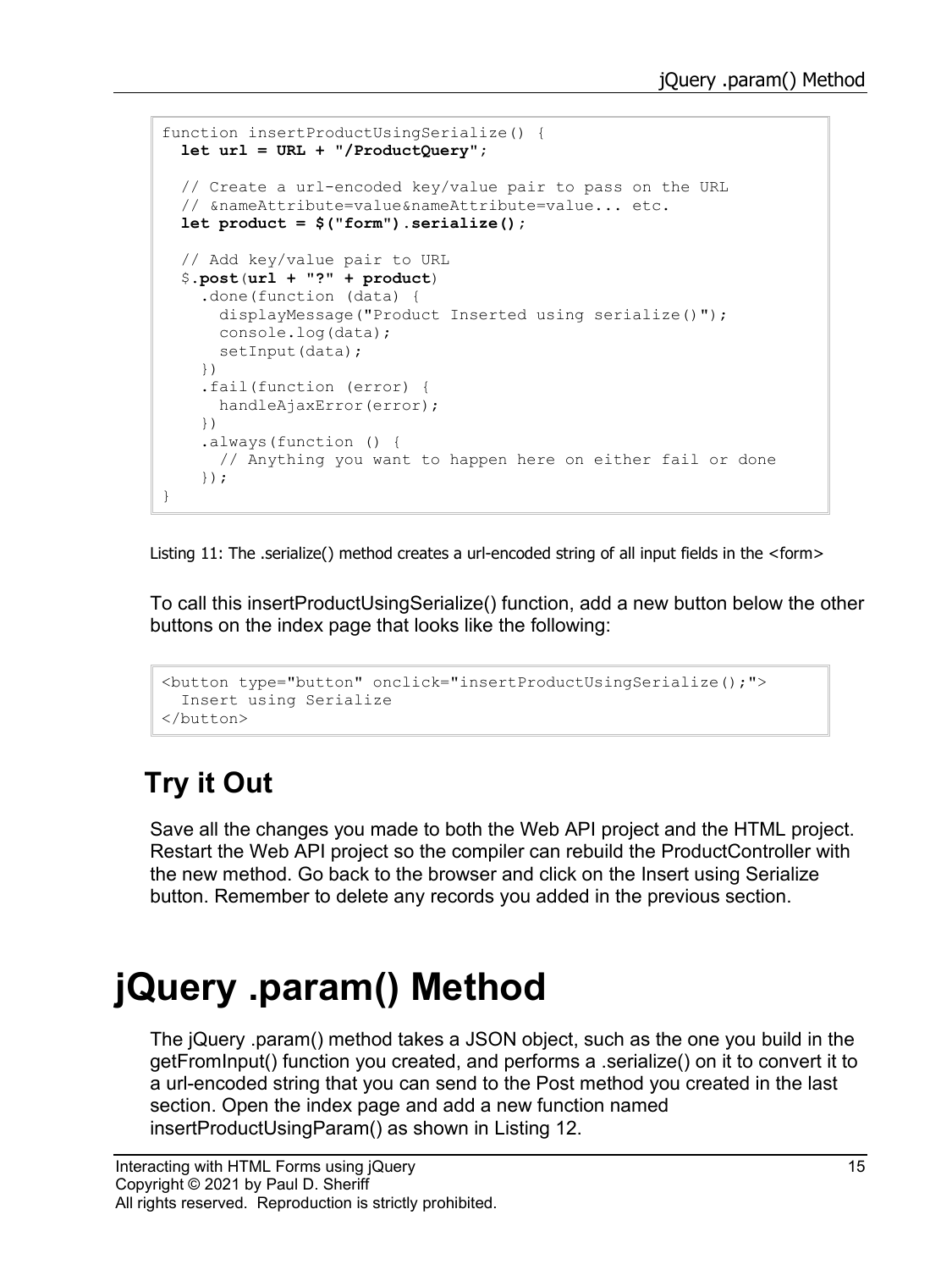```
function insertProductUsingSerialize() {
  let url = URL + "/ProductQuery";
  // Create a url-encoded key/value pair to pass on the URL
   // &nameAttribute=value&nameAttribute=value... etc.
   let product = $("form").serialize();
   // Add key/value pair to URL 
   $.post(url + "?" + product)
     .done(function (data) {
      displayMessage("Product Inserted using serialize()");
      console.log(data);
     setInput(data);
     })
     .fail(function (error) {
      handleAjaxError(error);
     })
     .always(function () {
      // Anything you want to happen here on either fail or done
     });
}
```
<span id="page-14-0"></span>Listing 11: The .serialize() method creates a url-encoded string of all input fields in the <form>

To call this insertProductUsingSerialize() function, add a new button below the other buttons on the index page that looks like the following:

```
<button type="button" onclick="insertProductUsingSerialize();">
  Insert using Serialize
</button>
```
### **Try it Out**

Save all the changes you made to both the Web API project and the HTML project. Restart the Web API project so the compiler can rebuild the ProductController with the new method. Go back to the browser and click on the Insert using Serialize button. Remember to delete any records you added in the previous section.

## **jQuery .param() Method**

The jQuery .param() method takes a JSON object, such as the one you build in the getFromInput() function you created, and performs a .serialize() on it to convert it to a url-encoded string that you can send to the Post method you created in the last section. Open the index page and add a new function named insertProductUsingParam() as shown in [Listing 12.](#page-15-0)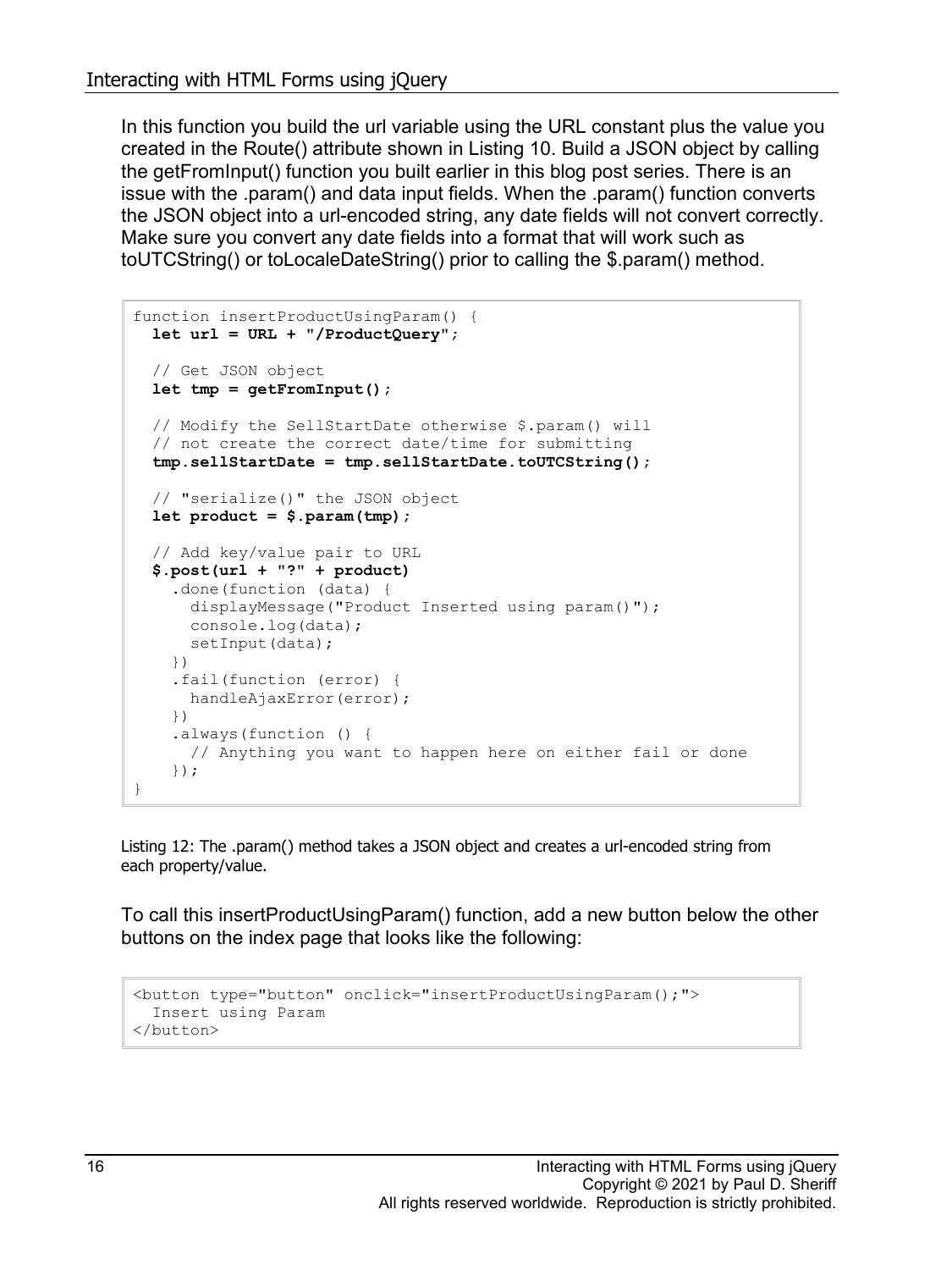In this function you build the url variable using the URL constant plus the value you created in the Route() attribute shown in [Listing 10.](#page-13-0) Build a JSON object by calling the getFromInput() function you built earlier in this blog post series. There is an issue with the .param() and data input fields. When the .param() function converts the JSON object into a url-encoded string, any date fields will not convert correctly. Make sure you convert any date fields into a format that will work such as toUTCString() or toLocaleDateString() prior to calling the \$.param() method.

```
function insertProductUsingParam() {
  let url = URL + "/ProductQuery";
  // Get JSON object
  let tmp = getFromInput();
  // Modify the SellStartDate otherwise $.param() will 
  // not create the correct date/time for submitting
  tmp.sellStartDate = tmp.sellStartDate.toUTCString();
  // "serialize()" the JSON object
  let product = $.param(tmp);
  // Add key/value pair to URL 
  $.post(url + "?" + product)
     .done(function (data) {
      displayMessage("Product Inserted using param()");
      console.log(data);
     setInput(data);
    })
     .fail(function (error) {
     handleAjaxError(error);
     })
     .always(function () {
      // Anything you want to happen here on either fail or done
     });
}
```
<span id="page-15-0"></span>Listing 12: The .param() method takes a JSON object and creates a url-encoded string from each property/value.

To call this insertProductUsingParam() function, add a new button below the other buttons on the index page that looks like the following:

```
<button type="button" onclick="insertProductUsingParam();">
  Insert using Param
</button>
```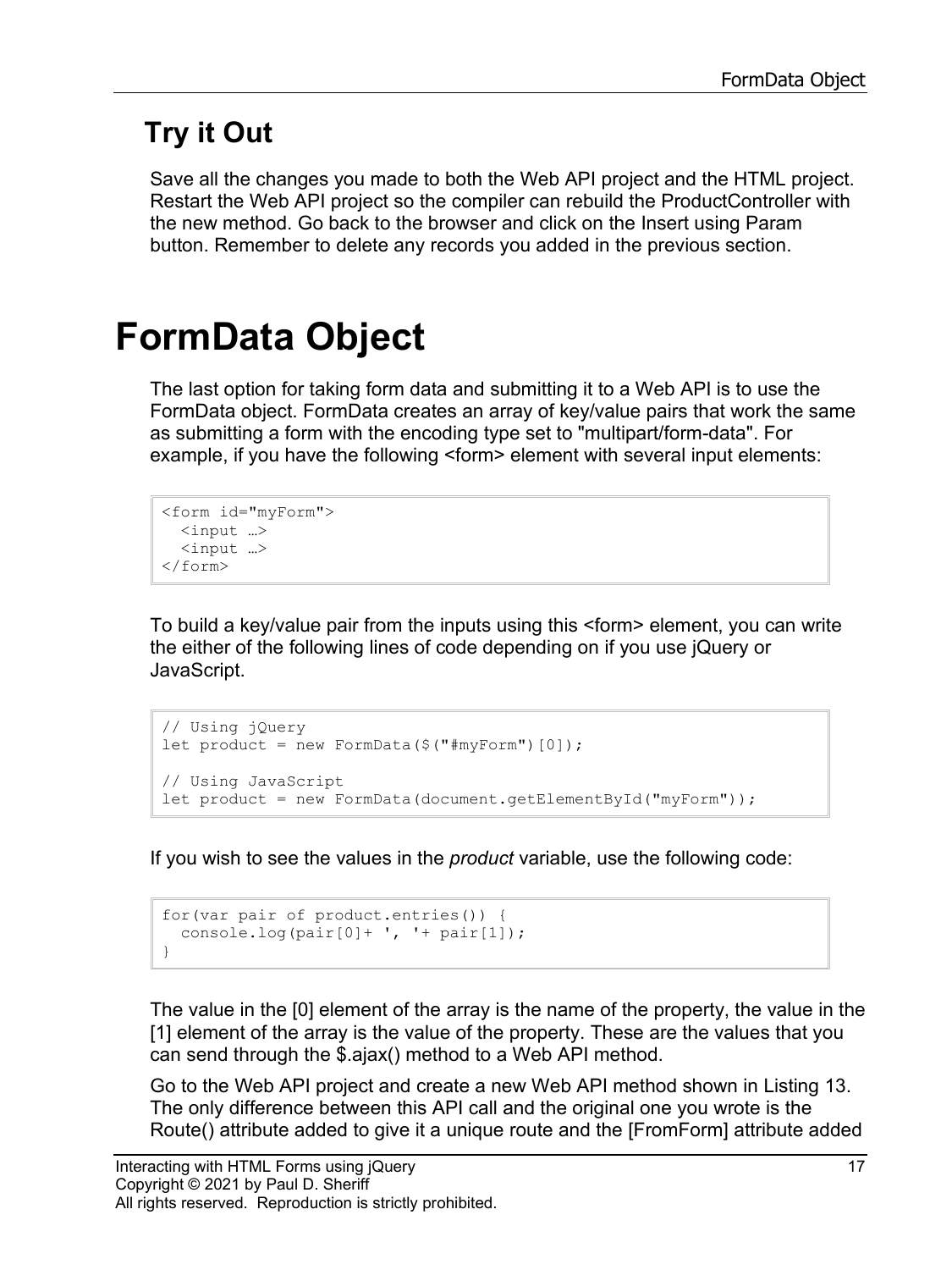### **Try it Out**

Save all the changes you made to both the Web API project and the HTML project. Restart the Web API project so the compiler can rebuild the ProductController with the new method. Go back to the browser and click on the Insert using Param button. Remember to delete any records you added in the previous section.

## **FormData Object**

The last option for taking form data and submitting it to a Web API is to use the FormData object. FormData creates an array of key/value pairs that work the same as submitting a form with the encoding type set to "multipart/form-data". For example, if you have the following <form> element with several input elements:

```
<form id="myForm">
  <input …>
  <input …>
</form>
```
To build a key/value pair from the inputs using this <form> element, you can write the either of the following lines of code depending on if you use jQuery or JavaScript.

```
// Using jQuery
let product = new FormData($("\#myForm")[0]);
// Using JavaScript
let product = new FormData(document.getElementById("myForm"));
```
If you wish to see the values in the *product* variable, use the following code:

```
for(var pair of product.entries()) {
 console.log(pair[0]+ ', '+ pair[1]);
}
```
The value in the [0] element of the array is the name of the property, the value in the [1] element of the array is the value of the property. These are the values that you can send through the \$.ajax() method to a Web API method.

Go to the Web API project and create a new Web API method shown in [Listing 13.](#page-17-0) The only difference between this API call and the original one you wrote is the Route() attribute added to give it a unique route and the [FromForm] attribute added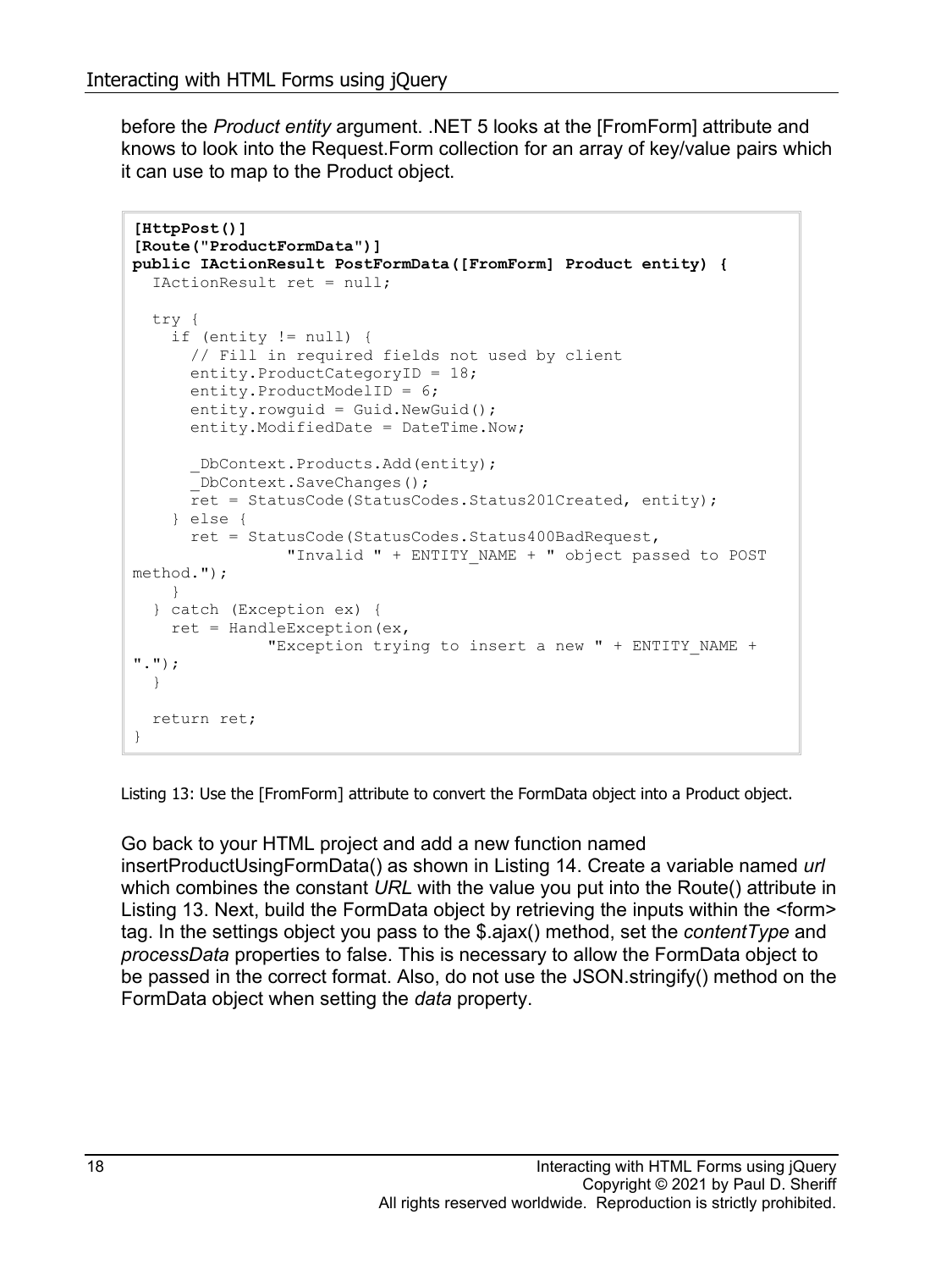before the *Product entity* argument. .NET 5 looks at the [FromForm] attribute and knows to look into the Request.Form collection for an array of key/value pairs which it can use to map to the Product object.

```
[HttpPost()]
[Route("ProductFormData")]
public IActionResult PostFormData([FromForm] Product entity) {
   IActionResult ret = null;
   try {
     if (entity != null) {
       // Fill in required fields not used by client
       entity.ProductCategoryID = 18;
       entity.ProductModelID = 6;
      entity.rowguid = Gui.NewGuid();
       entity.ModifiedDate = DateTime.Now;
       _DbContext.Products.Add(entity);
       DbContext.SaveChanges();
       ret = StatusCode(StatusCodes.Status201Created, entity);
     } else {
       ret = StatusCode(StatusCodes.Status400BadRequest,
                 "Invalid " + ENTITY_NAME + " object passed to POST 
method.");
     }
   } catch (Exception ex) {
    ret = HandleException(ex,
               "Exception trying to insert a new " + ENTITY_NAME + 
".");
   }
  return ret;
}
```
<span id="page-17-0"></span>Listing 13: Use the [FromForm] attribute to convert the FormData object into a Product object.

Go back to your HTML project and add a new function named insertProductUsingFormData() as shown in [Listing 14.](#page-18-0) Create a variable named *url* which combines the constant *URL* with the value you put into the Route() attribute in [Listing 13.](#page-17-0) Next, build the FormData object by retrieving the inputs within the <form> tag. In the settings object you pass to the \$.ajax() method, set the *contentType* and *processData* properties to false. This is necessary to allow the FormData object to be passed in the correct format. Also, do not use the JSON.stringify() method on the FormData object when setting the *data* property.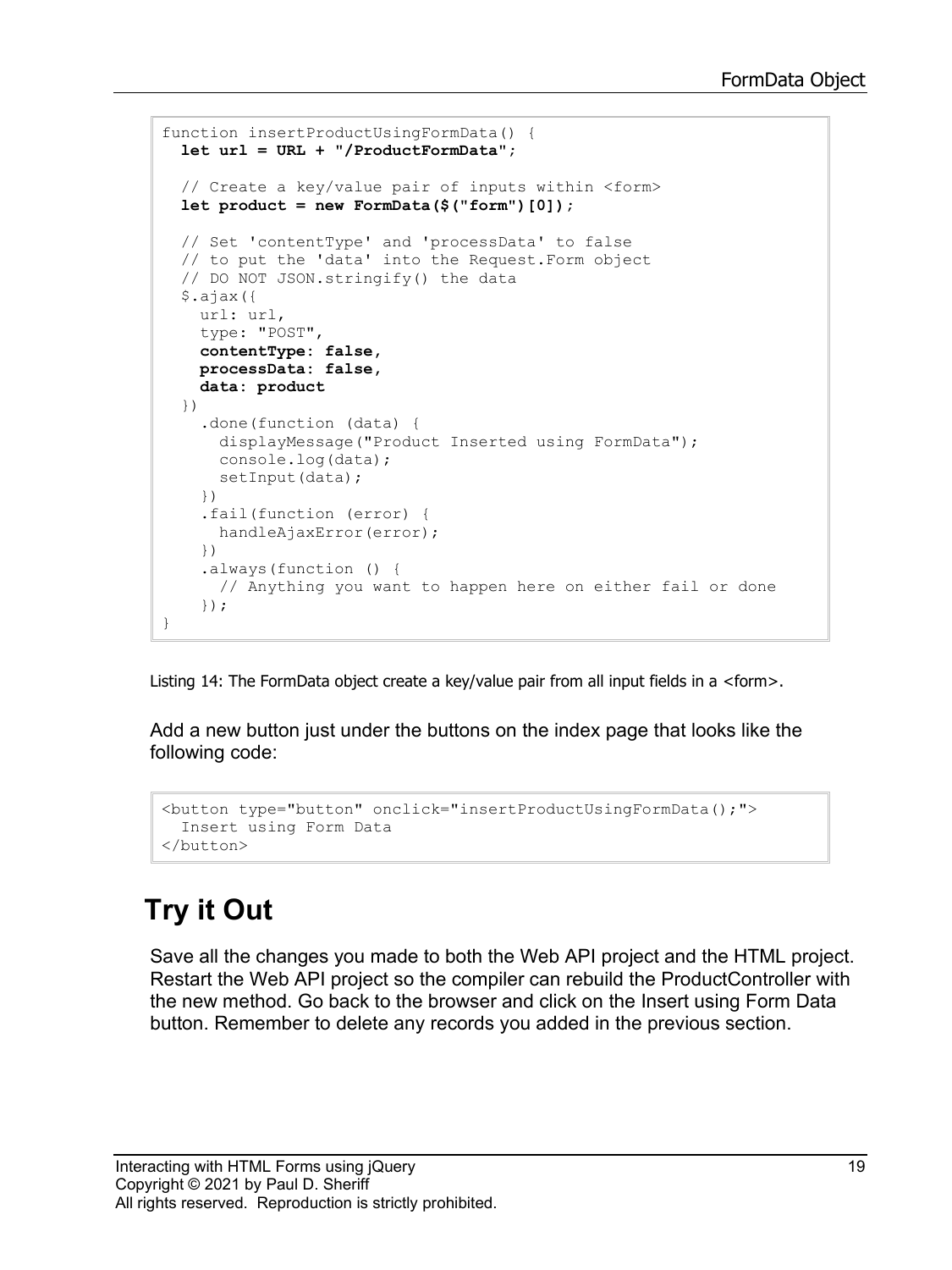```
function insertProductUsingFormData() {
   let url = URL + "/ProductFormData";
   // Create a key/value pair of inputs within <form>
   let product = new FormData($("form")[0]);
   // Set 'contentType' and 'processData' to false 
   // to put the 'data' into the Request.Form object
   // DO NOT JSON.stringify() the data
   $.ajax({
     url: url,
     type: "POST",
     contentType: false, 
     processData: false,
     data: product
   })
     .done(function (data) {
       displayMessage("Product Inserted using FormData");
      console.log(data);
     setInput(data);
     })
     .fail(function (error) {
      handleAjaxError(error);
     })
     .always(function () {
       // Anything you want to happen here on either fail or done
     });
}
```
<span id="page-18-0"></span>Listing 14: The FormData object create a key/value pair from all input fields in a <form>.

Add a new button just under the buttons on the index page that looks like the following code:

```
<button type="button" onclick="insertProductUsingFormData();">
  Insert using Form Data
</button>
```
### **Try it Out**

Save all the changes you made to both the Web API project and the HTML project. Restart the Web API project so the compiler can rebuild the ProductController with the new method. Go back to the browser and click on the Insert using Form Data button. Remember to delete any records you added in the previous section.